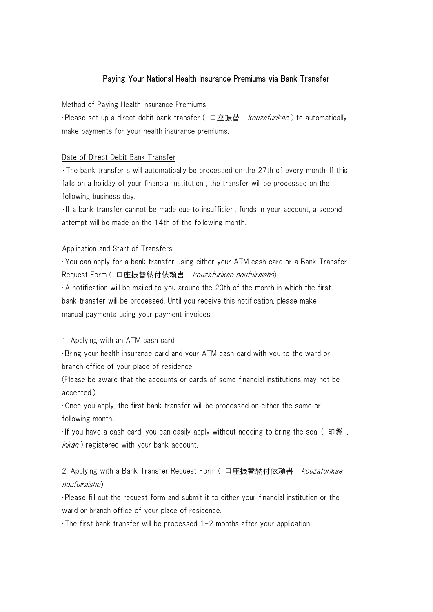## Paying Your National Health Insurance Premiums via Bank Transfer

#### Method of Paying Health Insurance Premiums

・Please set up a direct debit bank transfer ( 口座振替 , kouzafurikae ) to automatically make payments for your health insurance premiums.

#### Date of Direct Debit Bank Transfer

•The bank transfer s will automatically be processed on the 27th of every month. If this falls on a holiday of your financial institution , the transfer will be processed on the following business day.

•If a bank transfer cannot be made due to insufficient funds in your account, a second attempt will be made on the 14th of the following month.

#### Application and Start of Transfers

・You can apply for a bank transfer using either your ATM cash card or a Bank Transfer Request Form ( 口座振替納付依頼書 , kouzafurikae noufuiraisho)

・A notification will be mailed to you around the 20th of the month in which the first bank transfer will be processed. Until you receive this notification, please make manual payments using your payment invoices.

### 1. Applying with an ATM cash card

・Bring your health insurance card and your ATM cash card with you to the ward or branch office of your place of residence.

(Please be aware that the accounts or cards of some financial institutions may not be accepted.)

・Once you apply, the first bank transfer will be processed on either the same or following month.

 $\cdot$  If you have a cash card, you can easily apply without needing to bring the seal (印鑑, inkan ) registered with your bank account.

2. Applying with a Bank Transfer Request Form (口座振替納付依頼書, kouzafurikae noufuiraisho)

・Please fill out the request form and submit it to either your financial institution or the ward or branch office of your place of residence.

・The first bank transfer will be processed 1-2 months after your application.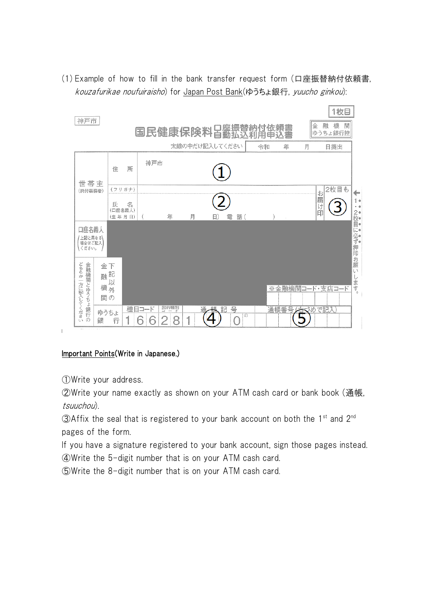(1) Example of how to fill in the bank transfer request form (口座振替納付依頼書, kouzafurikae noufuiraisho) for Japan Post Bank(ゆうちょ銀行, yuucho ginkou):



## Important Points(Write in Japanese.)

①Write your address.

 $\overline{1}$ 

②Write your name exactly as shown on your ATM cash card or bank book (通帳, tsuuchou).

 $\Omega$ Affix the seal that is registered to your bank account on both the 1<sup>st</sup> and 2<sup>nd</sup> pages of the form.

If you have a signature registered to your bank account, sign those pages instead. ④Write the 5-digit number that is on your ATM cash card.

⑤Write the 8-digit number that is on your ATM cash card.